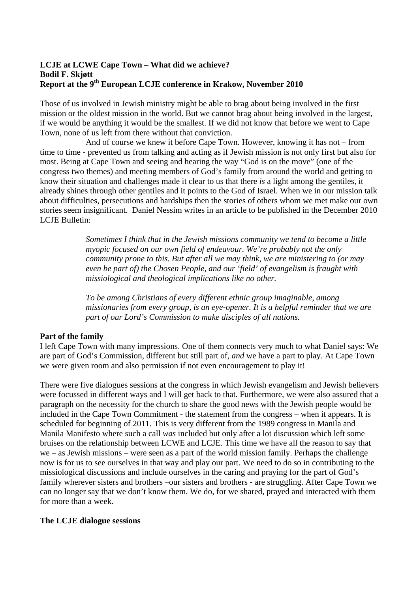# **LCJE at LCWE Cape Town – What did we achieve? Bodil F. Skjøtt Report at the 9<sup>th</sup> European LCJE conference in Krakow, November 2010**

Those of us involved in Jewish ministry might be able to brag about being involved in the first mission or the oldest mission in the world. But we cannot brag about being involved in the largest, if we would be anything it would be the smallest. If we did not know that before we went to Cape Town, none of us left from there without that conviction.

And of course we knew it before Cape Town. However, knowing it has not – from time to time - prevented us from talking and acting as if Jewish mission is not only first but also for most. Being at Cape Town and seeing and hearing the way "God is on the move" (one of the congress two themes) and meeting members of God's family from around the world and getting to know their situation and challenges made it clear to us that there *is* a light among the gentiles, it already shines through other gentiles and it points to the God of Israel. When we in our mission talk about difficulties, persecutions and hardships then the stories of others whom we met make our own stories seem insignificant. Daniel Nessim writes in an article to be published in the December 2010 LCJE Bulletin:

> *Sometimes I think that in the Jewish missions community we tend to become a little myopic focused on our own field of endeavour. We're probably not the only community prone to this. But after all we may think, we are ministering to (or may even be part of) the Chosen People, and our 'field' of evangelism is fraught with missiological and theological implications like no other.*

*To be among Christians of every different ethnic group imaginable, among missionaries from every group, is an eye-opener. It is a helpful reminder that we are part of our Lord's Commission to make disciples of all nations.* 

## **Part of the family**

I left Cape Town with many impressions. One of them connects very much to what Daniel says: We are part of God's Commission, different but still part of, *and* we have a part to play. At Cape Town we were given room and also permission if not even encouragement to play it!

There were five dialogues sessions at the congress in which Jewish evangelism and Jewish believers were focussed in different ways and I will get back to that. Furthermore, we were also assured that a paragraph on the necessity for the church to share the good news with the Jewish people would be included in the Cape Town Commitment - the statement from the congress – when it appears. It is scheduled for beginning of 2011. This is very different from the 1989 congress in Manila and Manila Manifesto where such a call *was* included but only after a lot discussion which left some bruises on the relationship between LCWE and LCJE. This time we have all the reason to say that we – as Jewish missions – were seen as a part of the world mission family. Perhaps the challenge now is for us to see ourselves in that way and play our part. We need to do so in contributing to the missiological discussions and include ourselves in the caring and praying for the part of God's family wherever sisters and brothers –our sisters and brothers - are struggling. After Cape Town we can no longer say that we don't know them. We do, for we shared, prayed and interacted with them for more than a week.

#### **The LCJE dialogue sessions**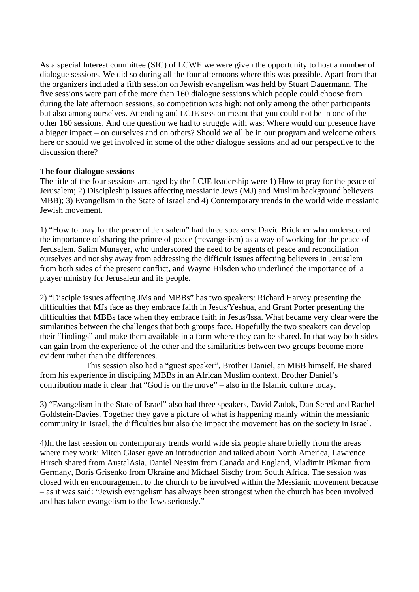As a special Interest committee (SIC) of LCWE we were given the opportunity to host a number of dialogue sessions. We did so during all the four afternoons where this was possible. Apart from that the organizers included a fifth session on Jewish evangelism was held by Stuart Dauermann. The five sessions were part of the more than 160 dialogue sessions which people could choose from during the late afternoon sessions, so competition was high; not only among the other participants but also among ourselves. Attending and LCJE session meant that you could not be in one of the other 160 sessions. And one question we had to struggle with was: Where would our presence have a bigger impact – on ourselves and on others? Should we all be in our program and welcome others here or should we get involved in some of the other dialogue sessions and ad our perspective to the discussion there?

#### **The four dialogue sessions**

The title of the four sessions arranged by the LCJE leadership were 1) How to pray for the peace of Jerusalem; 2) Discipleship issues affecting messianic Jews (MJ) and Muslim background believers MBB); 3) Evangelism in the State of Israel and 4) Contemporary trends in the world wide messianic Jewish movement.

1) "How to pray for the peace of Jerusalem" had three speakers: David Brickner who underscored the importance of sharing the prince of peace (=evangelism) as a way of working for the peace of Jerusalem. Salim Munayer, who underscored the need to be agents of peace and reconciliation ourselves and not shy away from addressing the difficult issues affecting believers in Jerusalem from both sides of the present conflict, and Wayne Hilsden who underlined the importance of a prayer ministry for Jerusalem and its people.

2) "Disciple issues affecting JMs and MBBs" has two speakers: Richard Harvey presenting the difficulties that MJs face as they embrace faith in Jesus/Yeshua, and Grant Porter presenting the difficulties that MBBs face when they embrace faith in Jesus/Issa. What became very clear were the similarities between the challenges that both groups face. Hopefully the two speakers can develop their "findings" and make them available in a form where they can be shared. In that way both sides can gain from the experience of the other and the similarities between two groups become more evident rather than the differences.

This session also had a "guest speaker", Brother Daniel, an MBB himself. He shared from his experience in discipling MBBs in an African Muslim context. Brother Daniel's contribution made it clear that "God is on the move" – also in the Islamic culture today.

3) "Evangelism in the State of Israel" also had three speakers, David Zadok, Dan Sered and Rachel Goldstein-Davies. Together they gave a picture of what is happening mainly within the messianic community in Israel, the difficulties but also the impact the movement has on the society in Israel.

4)In the last session on contemporary trends world wide six people share briefly from the areas where they work: Mitch Glaser gave an introduction and talked about North America, Lawrence Hirsch shared from AustalAsia, Daniel Nessim from Canada and England, Vladimir Pikman from Germany, Boris Grisenko from Ukraine and Michael Sischy from South Africa. The session was closed with en encouragement to the church to be involved within the Messianic movement because – as it was said: "Jewish evangelism has always been strongest when the church has been involved and has taken evangelism to the Jews seriously."